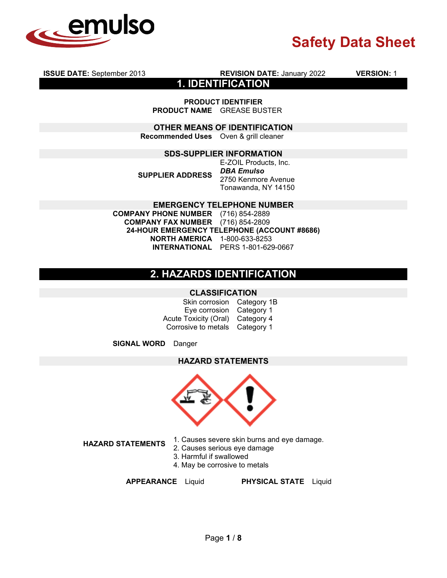

**ISSUE DATE:** September 2013 **REVISION DATE:** January 2022 **VERSION:** 1

**1. IDENTIFICATION**

**PRODUCT IDENTIFIER PRODUCT NAME** GREASE BUSTER

**OTHER MEANS OF IDENTIFICATION**

**Recommended Uses** Oven & grill cleaner

#### **SDS-SUPPLIER INFORMATION**

**SUPPLIER ADDRESS** E-ZOIL Products, Inc. *DBA Emulso*  2750 Kenmore Avenue Tonawanda, NY 14150

**EMERGENCY TELEPHONE NUMBER COMPANY PHONE NUMBER** (716) 854-2889 **COMPANY FAX NUMBER** (716) 854-2809 **24-HOUR EMERGENCY TELEPHONE (ACCOUNT #8686) NORTH AMERICA** 1-800-633-8253 **INTERNATIONAL** PERS 1-801-629-0667

# **2. HAZARDS IDENTIFICATION**

#### **CLASSIFICATION**

Skin corrosion Category 1B Eye corrosion Category 1 Acute Toxicity (Oral) Category 4 Corrosive to metals Category 1

**SIGNAL WORD** Danger

**HAZARD STATEMENTS**



**HAZARD STATEMENTS** 1. Causes severe skin burns and eye damage.

- 2. Causes serious eye damage
- 3. Harmful if swallowed
- 4. May be corrosive to metals

**APPEARANCE** Liquid **PHYSICAL STATE** Liquid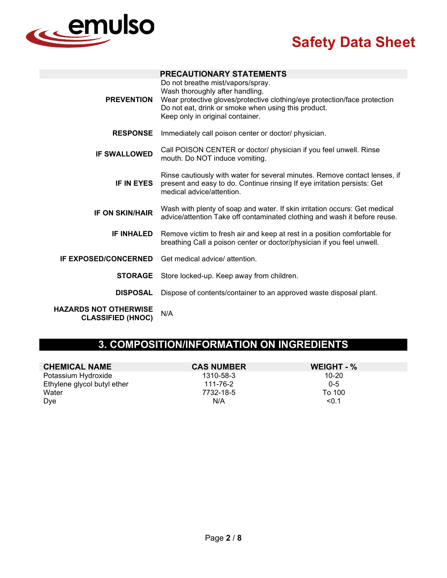

|                                                          | <b>PRECAUTIONARY STATEMENTS</b>                                                                                                                                                                                                              |
|----------------------------------------------------------|----------------------------------------------------------------------------------------------------------------------------------------------------------------------------------------------------------------------------------------------|
| <b>PREVENTION</b>                                        | Do not breathe mist/vapors/spray.<br>Wash thoroughly after handling.<br>Wear protective gloves/protective clothing/eye protection/face protection<br>Do not eat, drink or smoke when using this product.<br>Keep only in original container. |
| <b>RESPONSE</b>                                          | Immediately call poison center or doctor/ physician.                                                                                                                                                                                         |
| <b>IF SWALLOWED</b>                                      | Call POISON CENTER or doctor/ physician if you feel unwell. Rinse<br>mouth. Do NOT induce vomiting.                                                                                                                                          |
| <b>IF IN EYES</b>                                        | Rinse cautiously with water for several minutes. Remove contact lenses, if<br>present and easy to do. Continue rinsing If eye irritation persists: Get<br>medical advice/attention.                                                          |
| <b>IF ON SKIN/HAIR</b>                                   | Wash with plenty of soap and water. If skin irritation occurs: Get medical<br>advice/attention Take off contaminated clothing and wash it before reuse.                                                                                      |
| <b>IF INHALED</b>                                        | Remove victim to fresh air and keep at rest in a position comfortable for<br>breathing Call a poison center or doctor/physician if you feel unwell.                                                                                          |
| <b>IF EXPOSED/CONCERNED</b>                              | Get medical advice/ attention.                                                                                                                                                                                                               |
| <b>STORAGE</b>                                           | Store locked-up. Keep away from children.                                                                                                                                                                                                    |
| <b>DISPOSAL</b>                                          | Dispose of contents/container to an approved waste disposal plant.                                                                                                                                                                           |
| <b>HAZARDS NOT OTHERWISE</b><br><b>CLASSIFIED (HNOC)</b> | N/A                                                                                                                                                                                                                                          |

# **3. COMPOSITION/INFORMATION ON INGREDIENTS**

| <b>CHEMICAL NAME</b>        | <b>CAS NUMBER</b> | WEIGHT - % |
|-----------------------------|-------------------|------------|
| Potassium Hydroxide         | 1310-58-3         | 10-20      |
| Ethylene glycol butyl ether | 111-76-2          | $0 - 5$    |
| Water                       | 7732-18-5         | To 100     |
| <b>Dve</b>                  | N/A               | < 0.1      |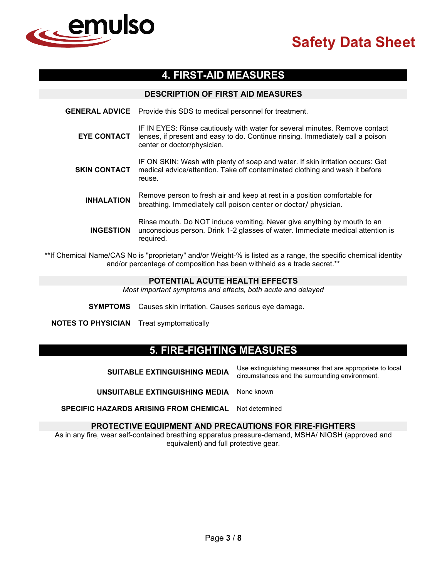

# **4. FIRST-AID MEASURES**

#### **DESCRIPTION OF FIRST AID MEASURES**

**GENERAL ADVICE** Provide this SDS to medical personnel for treatment. **EYE CONTACT** IF IN EYES: Rinse cautiously with water for several minutes. Remove contact lenses, if present and easy to do. Continue rinsing. Immediately call a poison center or doctor/physician. **SKIN CONTACT** IF ON SKIN: Wash with plenty of soap and water. If skin irritation occurs: Get medical advice/attention. Take off contaminated clothing and wash it before reuse. **INHALATION** Remove person to fresh air and keep at rest in a position comfortable for breathing. Immediately call poison center or doctor/ physician. **INGESTION** Rinse mouth. Do NOT induce vomiting. Never give anything by mouth to an unconscious person. Drink 1-2 glasses of water. Immediate medical attention is required.

\*\*If Chemical Name/CAS No is "proprietary" and/or Weight-% is listed as a range, the specific chemical identity and/or percentage of composition has been withheld as a trade secret.\*\*

#### **POTENTIAL ACUTE HEALTH EFFECTS**

*Most important symptoms and effects, both acute and delayed*

**SYMPTOMS** Causes skin irritation. Causes serious eye damage.

**NOTES TO PHYSICIAN** Treat symptomatically

# **5. FIRE-FIGHTING MEASURES**

**SUITABLE EXTINGUISHING MEDIA** Use extinguishing measures that are appropriate to local circumstances and the surrounding environment.

**UNSUITABLE EXTINGUISHING MEDIA** None known

**SPECIFIC HAZARDS ARISING FROM CHEMICAL** Not determined

#### **PROTECTIVE EQUIPMENT AND PRECAUTIONS FOR FIRE-FIGHTERS**

As in any fire, wear self-contained breathing apparatus pressure-demand, MSHA/ NIOSH (approved and equivalent) and full protective gear.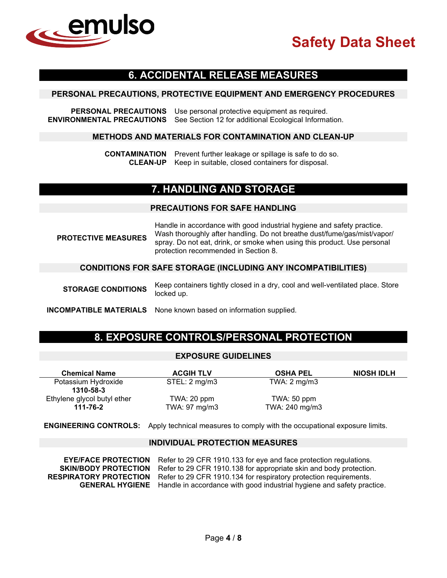

## **6. ACCIDENTAL RELEASE MEASURES**

#### **PERSONAL PRECAUTIONS, PROTECTIVE EQUIPMENT AND EMERGENCY PROCEDURES**

**PERSONAL PRECAUTIONS** Use personal protective equipment as required. **ENVIRONMENTAL PRECAUTIONS** See Section 12 for additional Ecological Information.

#### **METHODS AND MATERIALS FOR CONTAMINATION AND CLEAN-UP**

**CONTAMINATION** Prevent further leakage or spillage is safe to do so. **CLEAN-UP** Keep in suitable, closed containers for disposal.

## **7. HANDLING AND STORAGE**

#### **PRECAUTIONS FOR SAFE HANDLING**

**PROTECTIVE MEASURES** Handle in accordance with good industrial hygiene and safety practice. Wash thoroughly after handling. Do not breathe dust/fume/gas/mist/vapor/ spray. Do not eat, drink, or smoke when using this product. Use personal protection recommended in Section 8.

#### **CONDITIONS FOR SAFE STORAGE (INCLUDING ANY INCOMPATIBILITIES)**

**STORAGE CONDITIONS** Keep containers tightly closed in a dry, cool and well-ventilated place. Store locked up.

**INCOMPATIBLE MATERIALS** None known based on information supplied.

## **8. EXPOSURE CONTROLS/PERSONAL PROTECTION**

#### **EXPOSURE GUIDELINES**

| <b>Chemical Name</b>        | <b>ACGIH TLV</b> | <b>OSHA PEL</b>         | <b>NIOSH IDLH</b> |
|-----------------------------|------------------|-------------------------|-------------------|
| Potassium Hydroxide         | STEL: 2 mg/m3    | TWA: $2 \text{ mg/m}$ 3 |                   |
| 1310-58-3                   |                  |                         |                   |
| Ethylene glycol butyl ether | TWA: 20 ppm      | TWA: $50$ ppm           |                   |
| 111-76-2                    | TWA: 97 mg/m3    | TWA: 240 mg/m3          |                   |

#### **ENGINEERING CONTROLS:** Apply technical measures to comply with the occupational exposure limits.

#### **INDIVIDUAL PROTECTION MEASURES**

| <b>EYE/FACE PROTECTION</b>    | Refer to 29 CFR 1910.133 for eye and face protection regulations.                             |
|-------------------------------|-----------------------------------------------------------------------------------------------|
| <b>SKIN/BODY PROTECTION</b>   | Refer to 29 CFR 1910.138 for appropriate skin and body protection.                            |
| <b>RESPIRATORY PROTECTION</b> | Refer to 29 CFR 1910.134 for respiratory protection requirements.                             |
|                               | <b>GENERAL HYGIENE</b> Handle in accordance with good industrial hygiene and safety practice. |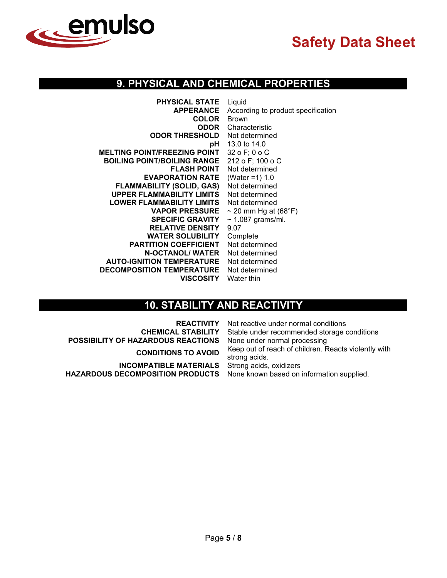

# **9. PHYSICAL AND CHEMICAL PROPERTIES**

| <b>PHYSICAL STATE</b>                | Liquid                             |
|--------------------------------------|------------------------------------|
| <b>APPERANCE</b>                     | According to product specification |
| <b>COLOR</b>                         | <b>Brown</b>                       |
|                                      | <b>ODOR</b> Characteristic         |
| <b>ODOR THRESHOLD</b> Not determined |                                    |
|                                      | pH 13.0 to 14.0                    |
| <b>MELTING POINT/FREEZING POINT</b>  | 32 o F; 0 o C                      |
| <b>BOILING POINT/BOILING RANGE</b>   | 212 o F; 100 o C                   |
| <b>FLASH POINT</b>                   | Not determined                     |
| <b>EVAPORATION RATE</b>              | (Water = $1) 1.0$                  |
| <b>FLAMMABILITY (SOLID, GAS)</b>     | Not determined                     |
| <b>UPPER FLAMMABILITY LIMITS</b>     | Not determined                     |
| <b>LOWER FLAMMABILITY LIMITS</b>     | Not determined                     |
| <b>VAPOR PRESSURE</b>                | $\sim$ 20 mm Hg at (68°F)          |
| <b>SPECIFIC GRAVITY</b>              | $\sim$ 1.087 grams/ml.             |
| <b>RELATIVE DENSITY</b>              | 9.07                               |
| <b>WATER SOLUBILITY</b>              | Complete                           |
| <b>PARTITION COEFFICIENT</b>         | Not determined                     |
| <b>N-OCTANOL/ WATER</b>              | Not determined                     |
| <b>AUTO-IGNITION TEMPERATURE</b>     | Not determined                     |
| <b>DECOMPOSITION TEMPERATURE</b>     | Not determined                     |
| <b>VISCOSITY</b> Water thin          |                                    |

# **10. STABILITY AND REACTIVITY**

|                                                                                                                                     | <b>REACTIVITY</b> Not reactive under normal conditions                |
|-------------------------------------------------------------------------------------------------------------------------------------|-----------------------------------------------------------------------|
|                                                                                                                                     | <b>CHEMICAL STABILITY</b> Stable under recommended storage conditions |
| POSSIBILITY OF HAZARDOUS REACTIONS None under normal processing                                                                     |                                                                       |
| <b>CONDITIONS TO AVOID</b>                                                                                                          | Keep out of reach of children. Reacts violently with<br>strong acids. |
| <b>INCOMPATIBLE MATERIALS</b> Strong acids, oxidizers<br>HAZARDOUS DECOMPOSITION PRODUCTS None known based on information supplied. |                                                                       |
|                                                                                                                                     |                                                                       |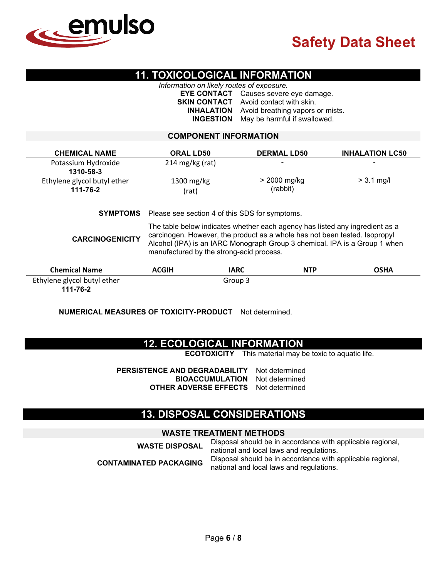

## **11. TOXICOLOGICAL INFORMATION**

*Information on likely routes of exposure.*

**EYE CONTACT** Causes severe eye damage. **SKIN CONTACT** Avoid contact with skin. **INHALATION** Avoid breathing vapors or mists. **INGESTION** May be harmful if swallowed.

#### **COMPONENT INFORMATION**

| <b>CHEMICAL NAME</b>        | <b>ORAL LD50</b>                                                                                                                                                                                                                                                                     | <b>DERMAL LD50</b>        | <b>INHALATION LC50</b> |
|-----------------------------|--------------------------------------------------------------------------------------------------------------------------------------------------------------------------------------------------------------------------------------------------------------------------------------|---------------------------|------------------------|
| Potassium Hydroxide         | $214 \text{ mg/kg}$ (rat)                                                                                                                                                                                                                                                            | $\overline{\phantom{0}}$  |                        |
| 1310-58-3                   |                                                                                                                                                                                                                                                                                      |                           |                        |
| Ethylene glycol butyl ether | $1300$ mg/kg                                                                                                                                                                                                                                                                         | > 2000 mg/kg              | $> 3.1$ mg/l           |
| 111-76-2                    | (rat)                                                                                                                                                                                                                                                                                | (rabbit)                  |                        |
| <b>SYMPTOMS</b>             | Please see section 4 of this SDS for symptoms.                                                                                                                                                                                                                                       |                           |                        |
| <b>CARCINOGENICITY</b>      | The table below indicates whether each agency has listed any ingredient as a<br>carcinogen. However, the product as a whole has not been tested. Isopropyl<br>Alcohol (IPA) is an IARC Monograph Group 3 chemical. IPA is a Group 1 when<br>manufactured by the strong-acid process. |                           |                        |
| <b>Chemical Name</b>        | <b>ACGIH</b>                                                                                                                                                                                                                                                                         | <b>IARC</b><br><b>NTP</b> | <b>OSHA</b>            |
| Ethylene glycol butyl ether |                                                                                                                                                                                                                                                                                      | Group 3                   |                        |

**111-76-2**

**NUMERICAL MEASURES OF TOXICITY-PRODUCT** Not determined.

## **12. ECOLOGICAL INFORMATION**

**ECOTOXICITY** This material may be toxic to aquatic life.

**PERSISTENCE AND DEGRADABILITY** Not determined **BIOACCUMULATION** Not determined **OTHER ADVERSE EFFECTS** Not determined

## **13. DISPOSAL CONSIDERATIONS**

### **WASTE TREATMENT METHODS**

**WASTE DISPOSAL** Disposal should be in accordance with applicable regional, national and local laws and regulations. **CONTAMINATED PACKAGING** Disposal should be in accordance with applicable regional, national and local laws and regulations.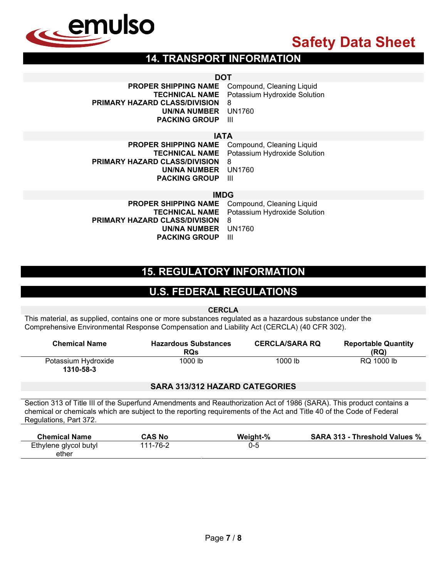

# **14. TRANSPORT INFORMATION**

**DOT**<br>PROPER SHIPPING NAME C **Compound, Cleaning Liquid TECHNICAL NAME** Potassium Hydroxide Solution **PRIMARY HAZARD CLASS/DIVISION** 8 **UN/NA NUMBER** UN1760 **PACKING GROUP** III

### **IATA**

| <b>PROPER SHIPPING NAME</b> Compound, Cleaning Liquid |                                                    |
|-------------------------------------------------------|----------------------------------------------------|
|                                                       | <b>TECHNICAL NAME</b> Potassium Hydroxide Solution |
| PRIMARY HAZARD CLASS/DIVISION                         | -8                                                 |
| UN/NA NUMBER UN1760                                   |                                                    |
| <b>PACKING GROUP</b>                                  | - 111                                              |

**IMDG**<br>**IE** Compound, Cleaning Liquid **PROPER SHIPPING NAME<br>TECHNICAL NAME** Potassium Hydroxide Solution<br>8 **PRIMARY HAZARD CLASS/DIVISION UN/NA NUMBER** UN1760 **PACKING GROUP** 

# **15. REGULATORY INFORMATION**

# **U.S. FEDERAL REGULATIONS**

**CERCLA**

This material, as supplied, contains one or more substances regulated as a hazardous substance under the Comprehensive Environmental Response Compensation and Liability Act (CERCLA) (40 CFR 302).

| <b>Chemical Name</b>             | <b>Hazardous Substances</b><br><b>RQs</b> | <b>CERCLA/SARA RQ</b> | <b>Reportable Quantity</b><br>(RQ) |
|----------------------------------|-------------------------------------------|-----------------------|------------------------------------|
| Potassium Hydroxide<br>1310-58-3 | 1000 lb                                   | 1000 lb               | RQ 1000 lb                         |

### **SARA 313/312 HAZARD CATEGORIES**

Section 313 of Title III of the Superfund Amendments and Reauthorization Act of 1986 (SARA). This product contains a chemical or chemicals which are subject to the reporting requirements of the Act and Title 40 of the Code of Federal Regulations, Part 372.

| <b>Chemical Name</b>  | CAS No   | Weight-% | <b>SARA 313 - Threshold Values %</b> |
|-----------------------|----------|----------|--------------------------------------|
| Ethylene glycol butyl | 111-76-2 | U-5      |                                      |
| ether                 |          |          |                                      |